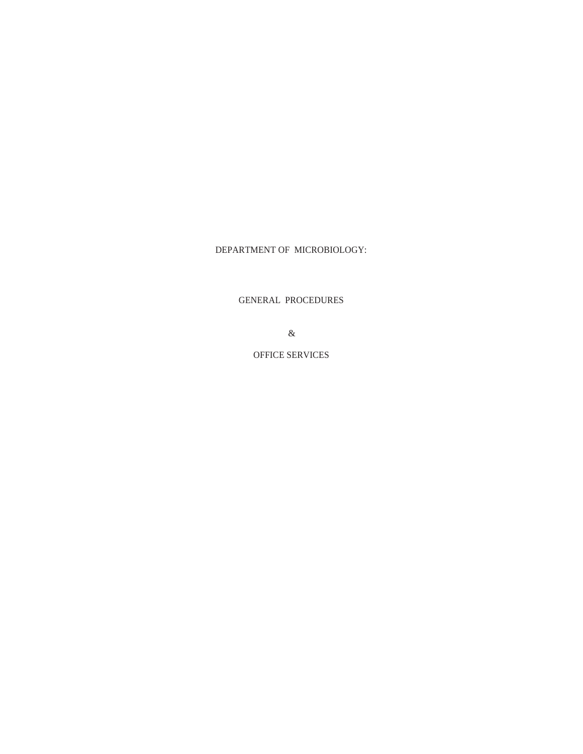DEPARTMENT OF MICROBIOLOGY:

GENERAL PROCEDURES

 $\&$ 

OFFICE SERVICES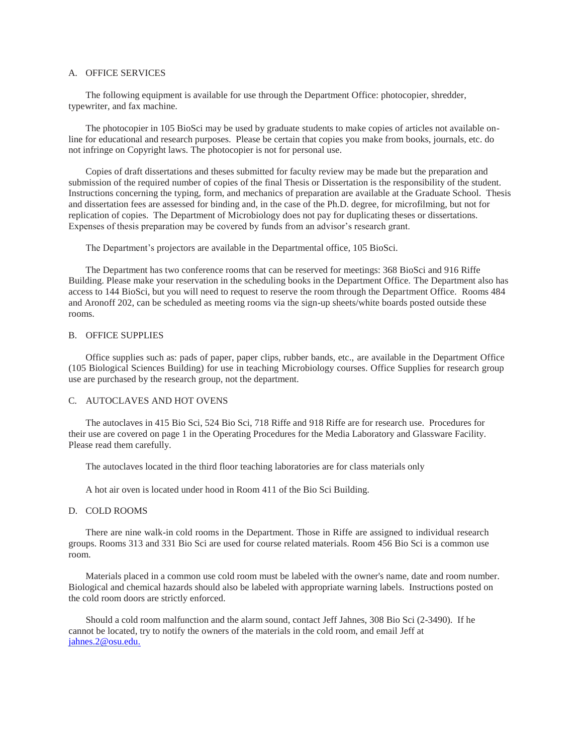# A. OFFICE SERVICES

The following equipment is available for use through the Department Office: photocopier, shredder, typewriter, and fax machine.

The photocopier in 105 BioSci may be used by graduate students to make copies of articles not available online for educational and research purposes. Please be certain that copies you make from books, journals, etc. do not infringe on Copyright laws. The photocopier is not for personal use.

Copies of draft dissertations and theses submitted for faculty review may be made but the preparation and submission of the required number of copies of the final Thesis or Dissertation is the responsibility of the student. Instructions concerning the typing, form, and mechanics of preparation are available at the Graduate School. Thesis and dissertation fees are assessed for binding and, in the case of the Ph.D. degree, for microfilming, but not for replication of copies. The Department of Microbiology does not pay for duplicating theses or dissertations. Expenses of thesis preparation may be covered by funds from an advisor's research grant.

The Department's projectors are available in the Departmental office, 105 BioSci.

The Department has two conference rooms that can be reserved for meetings: 368 BioSci and 916 Riffe Building. Please make your reservation in the scheduling books in the Department Office. The Department also has access to 144 BioSci, but you will need to request to reserve the room through the Department Office. Rooms 484 and Aronoff 202, can be scheduled as meeting rooms via the sign-up sheets/white boards posted outside these rooms.

## B. OFFICE SUPPLIES

Office supplies such as: pads of paper, paper clips, rubber bands, etc., are available in the Department Office (105 Biological Sciences Building) for use in teaching Microbiology courses. Office Supplies for research group use are purchased by the research group, not the department.

## C. AUTOCLAVES AND HOT OVENS

The autoclaves in 415 Bio Sci, 524 Bio Sci, 718 Riffe and 918 Riffe are for research use. Procedures for their use are covered on page 1 in the Operating Procedures for the Media Laboratory and Glassware Facility. Please read them carefully.

The autoclaves located in the third floor teaching laboratories are for class materials only

A hot air oven is located under hood in Room 411 of the Bio Sci Building.

#### D. COLD ROOMS

There are nine walk-in cold rooms in the Department. Those in Riffe are assigned to individual research groups. Rooms 313 and 331 Bio Sci are used for course related materials. Room 456 Bio Sci is a common use room.

Materials placed in a common use cold room must be labeled with the owner's name, date and room number. Biological and chemical hazards should also be labeled with appropriate warning labels. Instructions posted on the cold room doors are strictly enforced.

Should a cold room malfunction and the alarm sound, contact Jeff Jahnes, 308 Bio Sci (2-3490). If he cannot be located, try to notify the owners of the materials in the cold room, and email Jeff at [jahnes.2@osu.edu.](mailto:jahnes.2@osu.edu.)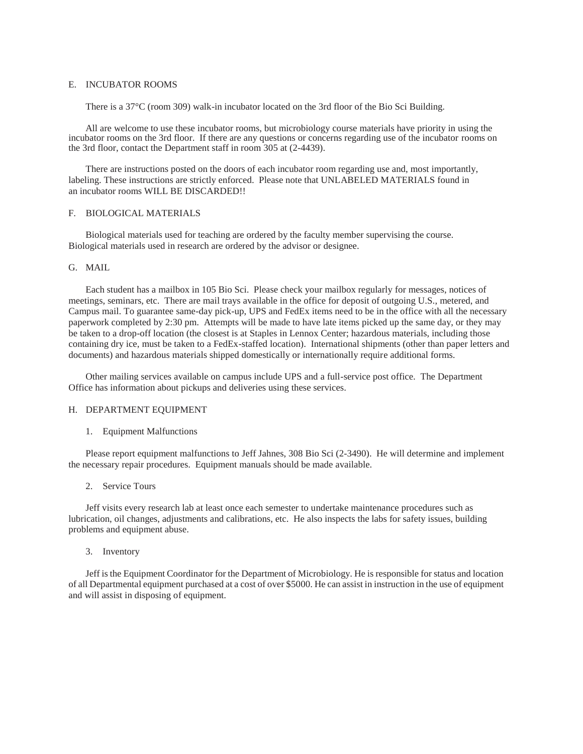## E. INCUBATOR ROOMS

There is a 37°C (room 309) walk-in incubator located on the 3rd floor of the Bio Sci Building.

All are welcome to use these incubator rooms, but microbiology course materials have priority in using the incubator rooms on the 3rd floor. If there are any questions or concerns regarding use of the incubator rooms on the 3rd floor, contact the Department staff in room 305 at (2-4439).

There are instructions posted on the doors of each incubator room regarding use and, most importantly, labeling. These instructions are strictly enforced. Please note that UNLABELED MATERIALS found in an incubator rooms WILL BE DISCARDED!!

#### F. BIOLOGICAL MATERIALS

Biological materials used for teaching are ordered by the faculty member supervising the course. Biological materials used in research are ordered by the advisor or designee.

## G. MAIL

Each student has a mailbox in 105 Bio Sci. Please check your mailbox regularly for messages, notices of meetings, seminars, etc. There are mail trays available in the office for deposit of outgoing U.S., metered, and Campus mail. To guarantee same-day pick-up, UPS and FedEx items need to be in the office with all the necessary paperwork completed by 2:30 pm. Attempts will be made to have late items picked up the same day, or they may be taken to a drop-off location (the closest is at Staples in Lennox Center; hazardous materials, including those containing dry ice, must be taken to a FedEx-staffed location). International shipments (other than paper letters and documents) and hazardous materials shipped domestically or internationally require additional forms.

Other mailing services available on campus include UPS and a full-service post office. The Department Office has information about pickups and deliveries using these services.

#### H. DEPARTMENT EQUIPMENT

#### 1. Equipment Malfunctions

Please report equipment malfunctions to Jeff Jahnes, 308 Bio Sci (2-3490). He will determine and implement the necessary repair procedures. Equipment manuals should be made available.

## 2. Service Tours

Jeff visits every research lab at least once each semester to undertake maintenance procedures such as lubrication, oil changes, adjustments and calibrations, etc. He also inspects the labs for safety issues, building problems and equipment abuse.

#### 3. Inventory

Jeff is the Equipment Coordinator for the Department of Microbiology. He is responsible for status and location of all Departmental equipment purchased at a cost of over \$5000. He can assist in instruction in the use of equipment and will assist in disposing of equipment.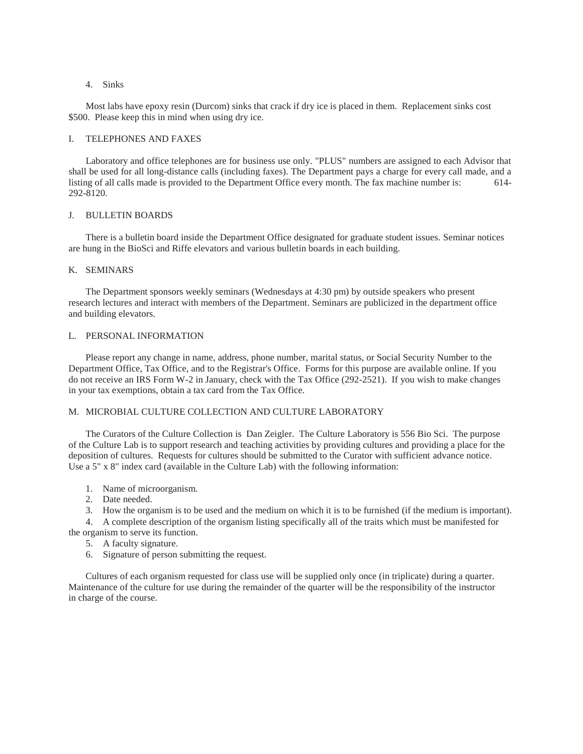# 4. Sinks

Most labs have epoxy resin (Durcom) sinks that crack if dry ice is placed in them. Replacement sinks cost \$500. Please keep this in mind when using dry ice.

# I. TELEPHONES AND FAXES

Laboratory and office telephones are for business use only. "PLUS" numbers are assigned to each Advisor that shall be used for all long-distance calls (including faxes). The Department pays a charge for every call made, and a listing of all calls made is provided to the Department Office every month. The fax machine number is: 614- 292-8120.

# J. BULLETIN BOARDS

There is a bulletin board inside the Department Office designated for graduate student issues. Seminar notices are hung in the BioSci and Riffe elevators and various bulletin boards in each building.

## K. SEMINARS

The Department sponsors weekly seminars (Wednesdays at 4:30 pm) by outside speakers who present research lectures and interact with members of the Department. Seminars are publicized in the department office and building elevators.

### L. PERSONAL INFORMATION

Please report any change in name, address, phone number, marital status, or Social Security Number to the Department Office, Tax Office, and to the Registrar's Office. Forms for this purpose are available online. If you do not receive an IRS Form W-2 in January, check with the Tax Office (292-2521). If you wish to make changes in your tax exemptions, obtain a tax card from the Tax Office.

#### M. MICROBIAL CULTURE COLLECTION AND CULTURE LABORATORY

The Curators of the Culture Collection is Dan Zeigler. The Culture Laboratory is 556 Bio Sci. The purpose of the Culture Lab is to support research and teaching activities by providing cultures and providing a place for the deposition of cultures. Requests for cultures should be submitted to the Curator with sufficient advance notice. Use a 5" x 8" index card (available in the Culture Lab) with the following information:

- 1. Name of microorganism.
- 2. Date needed.
- 3. How the organism is to be used and the medium on which it is to be furnished (if the medium is important).
- 4. A complete description of the organism listing specifically all of the traits which must be manifested for the organism to serve its function.
	-
	- 5. A faculty signature.
	- 6. Signature of person submitting the request.

Cultures of each organism requested for class use will be supplied only once (in triplicate) during a quarter. Maintenance of the culture for use during the remainder of the quarter will be the responsibility of the instructor in charge of the course.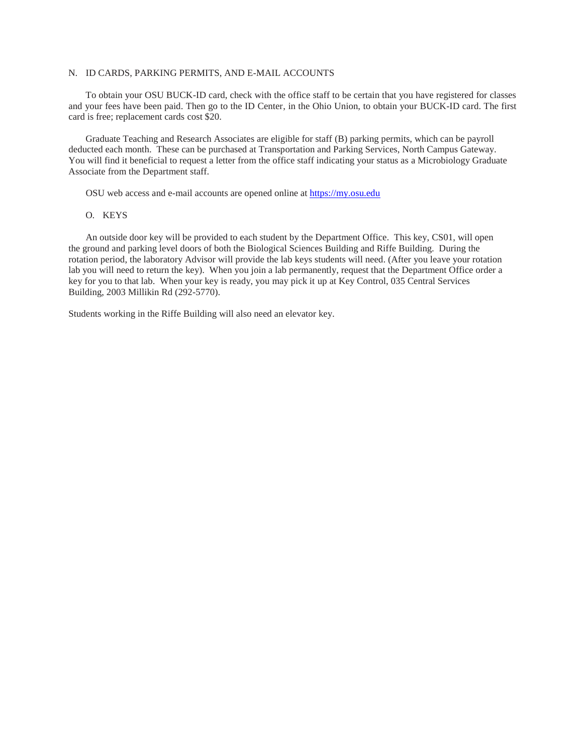# N. ID CARDS, PARKING PERMITS, AND E-MAIL ACCOUNTS

To obtain your OSU BUCK-ID card, check with the office staff to be certain that you have registered for classes and your fees have been paid. Then go to the ID Center, in the Ohio Union, to obtain your BUCK-ID card. The first card is free; replacement cards cost \$20.

Graduate Teaching and Research Associates are eligible for staff (B) parking permits, which can be payroll deducted each month. These can be purchased at Transportation and Parking Services, North Campus Gateway. You will find it beneficial to request a letter from the office staff indicating your status as a Microbiology Graduate Associate from the Department staff.

OSU web access and e-mail accounts are opened online at [https://my.osu.edu](https://my.osu.edu/)

# O. KEYS

An outside door key will be provided to each student by the Department Office. This key, CS01, will open the ground and parking level doors of both the Biological Sciences Building and Riffe Building. During the rotation period, the laboratory Advisor will provide the lab keys students will need. (After you leave your rotation lab you will need to return the key). When you join a lab permanently, request that the Department Office order a key for you to that lab. When your key is ready, you may pick it up at Key Control, 035 Central Services Building, 2003 Millikin Rd (292-5770).

Students working in the Riffe Building will also need an elevator key.